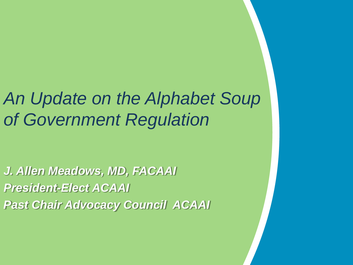# *An Update on the Alphabet Soup of Government Regulation*

*J. Allen Meadows, MD, FACAAI President-Elect ACAAI Past Chair Advocacy Council ACAAI*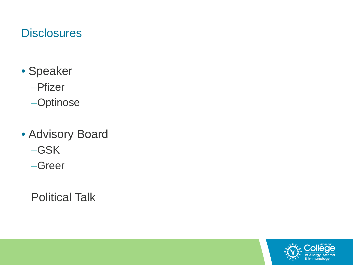#### **Disclosures**

- Speaker
	- –Pfizer
	- –Optinose
- Advisory Board –GSK
	- –Greer

#### Political Talk

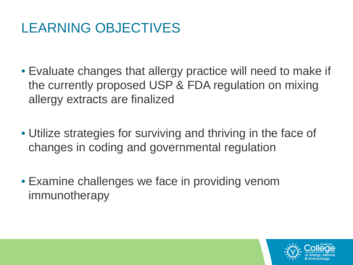# LEARNING OBJECTIVES

- Evaluate changes that allergy practice will need to make if the currently proposed USP & FDA regulation on mixing allergy extracts are finalized
- Utilize strategies for surviving and thriving in the face of changes in coding and governmental regulation
- Examine challenges we face in providing venom immunotherapy

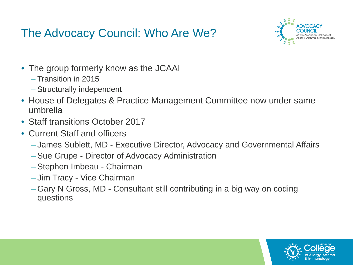#### The Advocacy Council: Who Are We?



- The group formerly know as the JCAAI
	- Transition in 2015
	- Structurally independent
- House of Delegates & Practice Management Committee now under same umbrella
- Staff transitions October 2017
- Current Staff and officers
	- James Sublett, MD Executive Director, Advocacy and Governmental Affairs
	- Sue Grupe Director of Advocacy Administration
	- Stephen Imbeau Chairman
	- Jim Tracy Vice Chairman
	- Gary N Gross, MD Consultant still contributing in a big way on coding questions

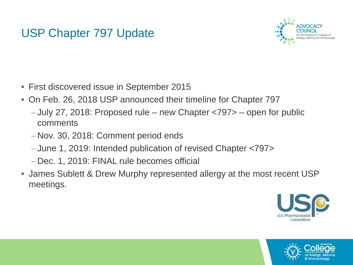#### USP Chapter 797 Update



- First discovered issue in September 2015
- On Feb. 26, 2018 USP announced their timeline for Chapter 797
	- July 27, 2018: Proposed rule new Chapter <797> open for public comments
	- –Nov. 30, 2018: Comment period ends
	- June 1, 2019: Intended publication of revised Chapter <797>
	- –Dec. 1, 2019: FINAL rule becomes official
- James Sublett & Drew Murphy represented allergy at the most recent USP meetings.



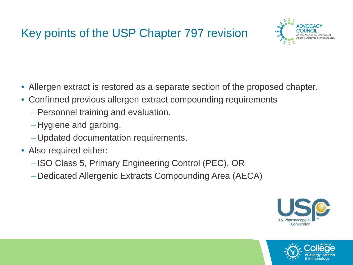#### Key points of the USP Chapter 797 revision



- Allergen extract is restored as a separate section of the proposed chapter.
- Confirmed previous allergen extract compounding requirements
	- –Personnel training and evaluation.
	- –Hygiene and garbing.
	- –Updated documentation requirements.
- Also required either:
	- ISO Class 5, Primary Engineering Control (PEC), OR
	- –Dedicated Allergenic Extracts Compounding Area (AECA)



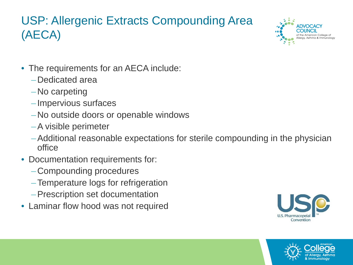## USP: Allergenic Extracts Compounding Area (AECA)



- The requirements for an AECA include:
	- –Dedicated area
	- –No carpeting
	- Impervious surfaces
	- –No outside doors or openable windows
	- –A visible perimeter
	- –Additional reasonable expectations for sterile compounding in the physician office
- Documentation requirements for:
	- –Compounding procedures
	- –Temperature logs for refrigeration
	- –Prescription set documentation
- Laminar flow hood was not required



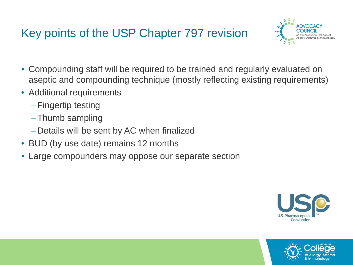#### Key points of the USP Chapter 797 revision



- Compounding staff will be required to be trained and regularly evaluated on aseptic and compounding technique (mostly reflecting existing requirements)
- Additional requirements
	- –Fingertip testing
	- –Thumb sampling
	- –Details will be sent by AC when finalized
- BUD (by use date) remains 12 months
- Large compounders may oppose our separate section



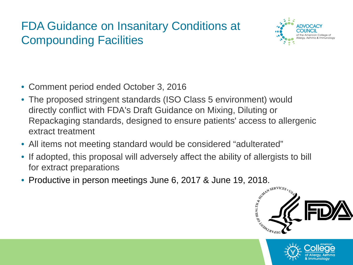## FDA Guidance on Insanitary Conditions at Compounding Facilities



- Comment period ended October 3, 2016
- The proposed stringent standards (ISO Class 5 environment) would directly conflict with FDA's Draft Guidance on Mixing, Diluting or Repackaging standards, designed to ensure patients' access to allergenic extract treatment
- All items not meeting standard would be considered "adulterated"
- If adopted, this proposal will adversely affect the ability of allergists to bill for extract preparations
- Productive in person meetings June 6, 2017 & June 19, 2018.

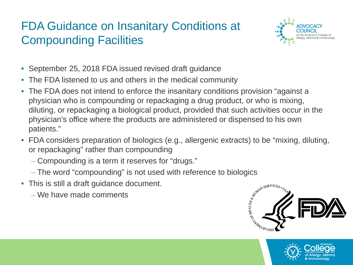## FDA Guidance on Insanitary Conditions at Compounding Facilities



- September 25, 2018 FDA issued revised draft guidance
- The FDA listened to us and others in the medical community
- The FDA does not intend to enforce the insanitary conditions provision "against a physician who is compounding or repackaging a drug product, or who is mixing, diluting, or repackaging a biological product, provided that such activities occur in the physician's office where the products are administered or dispensed to his own patients."
- FDA considers preparation of biologics (e.g., allergenic extracts) to be "mixing, diluting, or repackaging" rather than compounding
	- Compounding is a term it reserves for "drugs."
	- The word "compounding" is not used with reference to biologics<br>This is still a draft guidance document.<br>- We have made comments<br> $\begin{bmatrix} \downarrow^{\text{max}} \\ \downarrow^{\text{max}} \\ \downarrow^{\text{max}} \\ \downarrow^{\text{max}} \\ \downarrow^{\text{max}} \\ \downarrow^{\text{max}} \\ \downarrow^{\text{max}} \\ \downarrow^{\text{max}} \\ \downarrow^{\text{$
- This is still a draft guidance document.
	- We have made comments



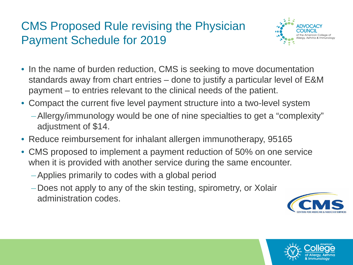#### CMS Proposed Rule revising the Physician Payment Schedule for 2019



- In the name of burden reduction, CMS is seeking to move documentation standards away from chart entries – done to justify a particular level of E&M payment – to entries relevant to the clinical needs of the patient.
- Compact the current five level payment structure into a two-level system
	- –Allergy/immunology would be one of nine specialties to get a "complexity" adjustment of \$14.
- Reduce reimbursement for inhalant allergen immunotherapy, 95165
- CMS proposed to implement a payment reduction of 50% on one service when it is provided with another service during the same encounter.
	- –Applies primarily to codes with a global period
	- –Does not apply to any of the skin testing, spirometry, or Xolair administration codes.



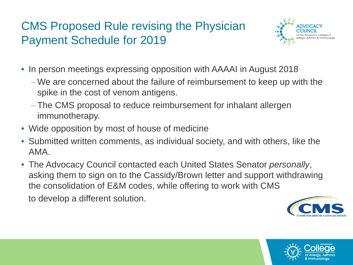## CMS Proposed Rule revising the Physician Payment Schedule for 2019



- In person meetings expressing opposition with AAAAI in August 2018
	- –We are concerned about the failure of reimbursement to keep up with the spike in the cost of venom antigens.
	- –The CMS proposal to reduce reimbursement for inhalant allergen immunotherapy.
- Wide opposition by most of house of medicine
- Submitted written comments, as individual society, and with others, like the AMA.
- The Advocacy Council contacted each United States Senator *personally*, asking them to sign on to the Cassidy/Brown letter and support withdrawing the consolidation of E&M codes, while offering to work with CMS to develop a different solution.



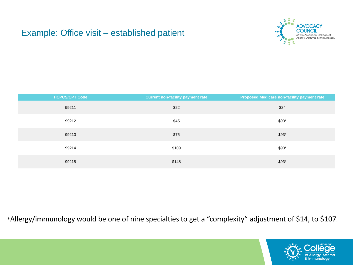#### Example: Office visit – established patient



| <b>HCPCS/CPT Code</b> | <b>Current non-facility payment rate</b> | Proposed Medicare non-facility payment rate |
|-----------------------|------------------------------------------|---------------------------------------------|
| 99211                 | \$22                                     | \$24                                        |
| 99212                 | \$45                                     | $$93*$                                      |
| 99213                 | \$75                                     | $$93*$                                      |
| 99214                 | \$109                                    | \$93*                                       |
| 99215                 | \$148                                    | $$93*$                                      |

\*Allergy/immunology would be one of nine specialties to get a "complexity" adjustment of \$14, to \$107.

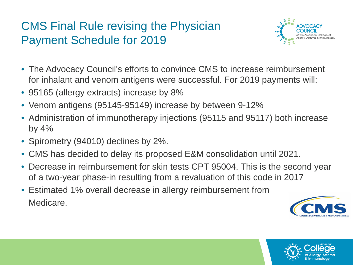#### CMS Final Rule revising the Physician Payment Schedule for 2019



- The Advocacy Council's efforts to convince CMS to increase reimbursement for inhalant and venom antigens were successful. For 2019 payments will:
- 95165 (allergy extracts) increase by 8%
- Venom antigens (95145-95149) increase by between 9-12%
- Administration of immunotherapy injections (95115 and 95117) both increase by  $4\%$
- Spirometry (94010) declines by 2%.
- CMS has decided to delay its proposed E&M consolidation until 2021.
- Decrease in reimbursement for skin tests CPT 95004. This is the second year of a two-year phase-in resulting from a revaluation of this code in 2017
- Estimated 1% overall decrease in allergy reimbursement from Medicare.



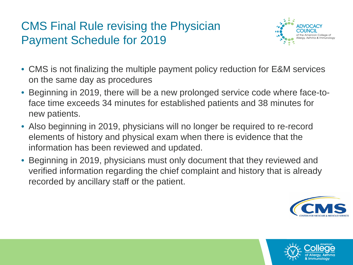#### CMS Final Rule revising the Physician Payment Schedule for 2019



- CMS is not finalizing the multiple payment policy reduction for E&M services on the same day as procedures
- Beginning in 2019, there will be a new prolonged service code where face-toface time exceeds 34 minutes for established patients and 38 minutes for new patients.
- Also beginning in 2019, physicians will no longer be required to re-record elements of history and physical exam when there is evidence that the information has been reviewed and updated.
- Beginning in 2019, physicians must only document that they reviewed and verified information regarding the chief complaint and history that is already recorded by ancillary staff or the patient.



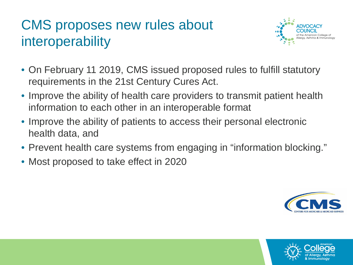# CMS proposes new rules about interoperability



- On February 11 2019, CMS issued proposed rules to fulfill statutory requirements in the 21st Century Cures Act.
- Improve the ability of health care providers to transmit patient health information to each other in an interoperable format
- Improve the ability of patients to access their personal electronic health data, and
- Prevent health care systems from engaging in "information blocking."
- Most proposed to take effect in 2020



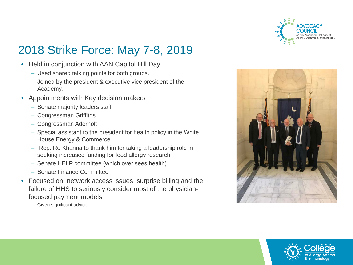

#### 2018 Strike Force: May 7-8, 2019

- Held in conjunction with AAN Capitol Hill Day
	- Used shared talking points for both groups.
	- Joined by the president & executive vice president of the Academy.
- Appointments with Key decision makers
	- Senate majority leaders staff
	- Congressman Griffiths
	- Congressman Aderholt
	- Special assistant to the president for health policy in the White House Energy & Commerce
	- Rep. Ro Khanna to thank him for taking a leadership role in seeking increased funding for food allergy research
	- Senate HELP committee (which over sees health)
	- Senate Finance Committee
- Focused on, network access issues, surprise billing and the failure of HHS to seriously consider most of the physicianfocused payment models
	- Given significant advice



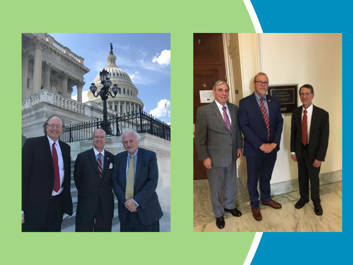

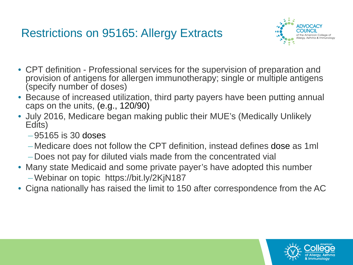#### Restrictions on 95165: Allergy Extracts



- CPT definition Professional services for the supervision of preparation and provision of antigens for allergen immunotherapy; single or multiple antigens (specify number of doses)
- Because of increased utilization, third party payers have been putting annual caps on the units, (e.g., 120/90)
- July 2016, Medicare began making public their MUE's (Medically Unlikely Edits)
	- 95165 is 30 doses
	- Medicare does not follow the CPT definition, instead defines dose as 1ml
	- –Does not pay for diluted vials made from the concentrated vial
- Many state Medicaid and some private payer's have adopted this number –Webinar on topic https://bit.ly/2KjN187
- Cigna nationally has raised the limit to 150 after correspondence from the AC

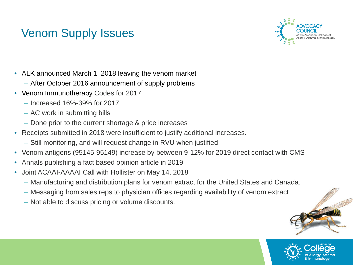#### Venom Supply Issues



- ALK announced March 1, 2018 leaving the venom market
	- After October 2016 announcement of supply problems
- Venom Immunotherapy Codes for 2017
	- Increased 16%-39% for 2017
	- AC work in submitting bills
	- Done prior to the current shortage & price increases
- Receipts submitted in 2018 were insufficient to justify additional increases.
	- Still monitoring, and will request change in RVU when justified.
- Venom antigens (95145-95149) increase by between 9-12% for 2019 direct contact with CMS
- Annals publishing a fact based opinion article in 2019
- Joint ACAAI-AAAAI Call with Hollister on May 14, 2018
	- Manufacturing and distribution plans for venom extract for the United States and Canada.
	- Messaging from sales reps to physician offices regarding availability of venom extract.
	- Not able to discuss pricing or volume discounts.



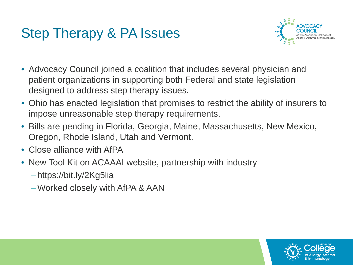## Step Therapy & PA Issues



- Advocacy Council joined a coalition that includes several physician and patient organizations in supporting both Federal and state legislation designed to address step therapy issues.
- Ohio has enacted legislation that promises to restrict the ability of insurers to impose unreasonable step therapy requirements.
- Bills are pending in Florida, Georgia, Maine, Massachusetts, New Mexico, Oregon, Rhode Island, Utah and Vermont.
- Close alliance with AfPA
- New Tool Kit on ACAAAI website, partnership with industry
	- https://bit.ly/2Kg5lia
	- –Worked closely with AfPA & AAN

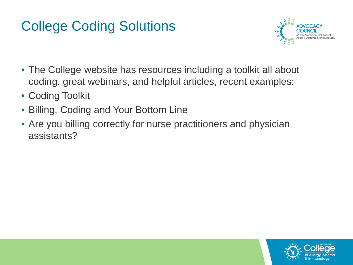## College Coding Solutions



- The College website has resources including a toolkit all about coding, great webinars, and helpful articles, recent examples:
- Coding Toolkit
- Billing, Coding and Your Bottom Line
- Are you billing correctly for nurse practitioners and physician assistants?

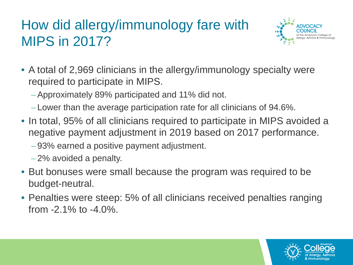# How did allergy/immunology fare with MIPS in 2017?



- A total of 2,969 clinicians in the allergy/immunology specialty were required to participate in MIPS.
	- –Approximately 89% participated and 11% did not.
	- Lower than the average participation rate for all clinicians of 94.6%.
- In total, 95% of all clinicians required to participate in MIPS avoided a negative payment adjustment in 2019 based on 2017 performance.
	- 93% earned a positive payment adjustment.
	- $-2\%$  avoided a penalty.
- But bonuses were small because the program was required to be budget-neutral.
- Penalties were steep: 5% of all clinicians received penalties ranging from  $-2.1\%$  to  $-4.0\%$ .

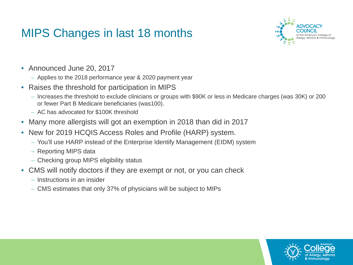#### MIPS Changes in last 18 months



- Announced June 20, 2017
	- Applies to the 2018 performance year & 2020 payment year
- Raises the threshold for participation in MIPS
	- Increases the threshold to exclude clinicians or groups with \$90K or less in Medicare charges (was 30K) or 200 or fewer Part B Medicare beneficiaries (was100).
	- AC has advocated for \$100K threshold
- Many more allergists will got an exemption in 2018 than did in 2017
- New for 2019 HCQIS Access Roles and Profile (HARP) system.
	- You'll use HARP instead of the Enterprise Identify Management (EIDM) system
	- Reporting MIPS data
	- Checking group MIPS eligibility status
- CMS will notify doctors if they are exempt or not, or you can check
	- Instructions in an insider
	- CMS estimates that only 37% of physicians will be subject to MIPs

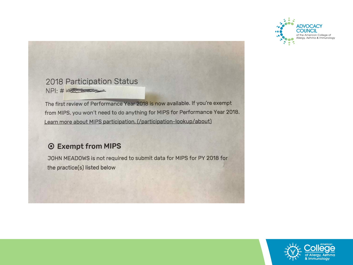

#### 2018 Participation Status  $NPI: # w$

The first review of Performance Year 2018 is now available. If you're exempt from MIPS, you won't need to do anything for MIPS for Performance Year 2018. Learn more about MIPS participation. (/participation-lookup/about)

#### © Exempt from MIPS

JOHN MEADOWS is not required to submit data for MIPS for PY 2018 for the practice(s) listed below

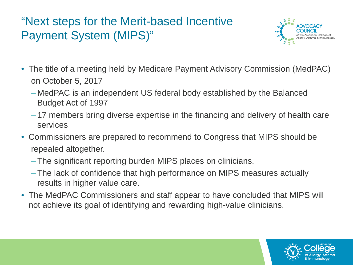#### "Next steps for the Merit-based Incentive Payment System (MIPS)"



- The title of a meeting held by Medicare Payment Advisory Commission (MedPAC) on October 5, 2017
	- MedPAC is an independent US federal body established by the Balanced Budget Act of 1997
	- 17 members bring diverse expertise in the financing and delivery of health care services
- Commissioners are prepared to recommend to Congress that MIPS should be repealed altogether.
	- The significant reporting burden MIPS places on clinicians.
	- The lack of confidence that high performance on MIPS measures actually results in higher value care.
- The MedPAC Commissioners and staff appear to have concluded that MIPS will not achieve its goal of identifying and rewarding high-value clinicians.

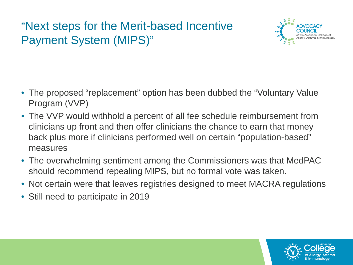## "Next steps for the Merit-based Incentive Payment System (MIPS)"



- The proposed "replacement" option has been dubbed the "Voluntary Value Program (VVP)
- The VVP would withhold a percent of all fee schedule reimbursement from clinicians up front and then offer clinicians the chance to earn that money back plus more if clinicians performed well on certain "population-based" measures
- The overwhelming sentiment among the Commissioners was that MedPAC should recommend repealing MIPS, but no formal vote was taken.
- Not certain were that leaves registries designed to meet MACRA regulations
- Still need to participate in 2019